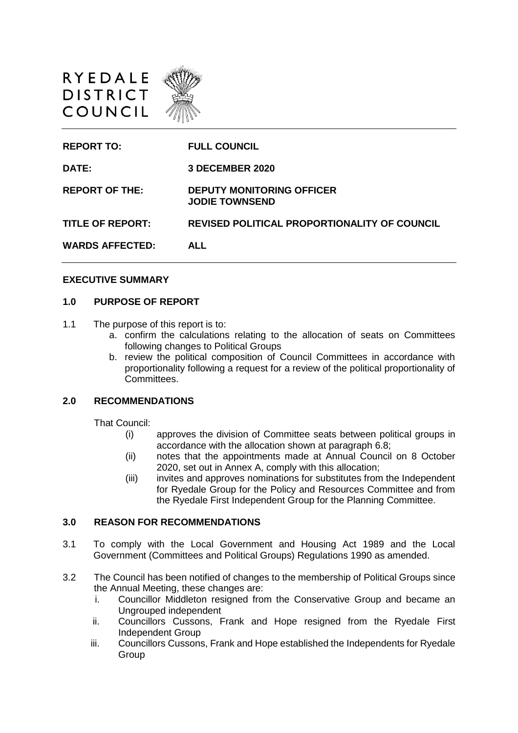



#### **EXECUTIVE SUMMARY**

#### **1.0 PURPOSE OF REPORT**

- 1.1 The purpose of this report is to:
	- a. confirm the calculations relating to the allocation of seats on Committees following changes to Political Groups
	- b. review the political composition of Council Committees in accordance with proportionality following a request for a review of the political proportionality of Committees.

#### **2.0 RECOMMENDATIONS**

That Council:

- (i) approves the division of Committee seats between political groups in accordance with the allocation shown at paragraph 6.8;
- (ii) notes that the appointments made at Annual Council on 8 October 2020, set out in Annex A, comply with this allocation;
- (iii) invites and approves nominations for substitutes from the Independent for Ryedale Group for the Policy and Resources Committee and from the Ryedale First Independent Group for the Planning Committee.

#### **3.0 REASON FOR RECOMMENDATIONS**

- 3.1 To comply with the Local Government and Housing Act 1989 and the Local Government (Committees and Political Groups) Regulations 1990 as amended.
- 3.2 The Council has been notified of changes to the membership of Political Groups since the Annual Meeting, these changes are:
	- i. Councillor Middleton resigned from the Conservative Group and became an Ungrouped independent
	- ii. Councillors Cussons, Frank and Hope resigned from the Ryedale First Independent Group
	- iii. Councillors Cussons, Frank and Hope established the Independents for Ryedale Group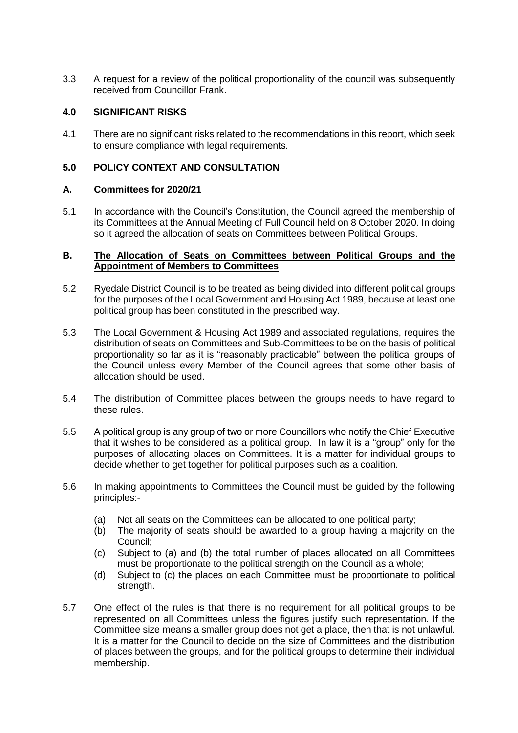3.3 A request for a review of the political proportionality of the council was subsequently received from Councillor Frank.

#### **4.0 SIGNIFICANT RISKS**

4.1 There are no significant risks related to the recommendations in this report, which seek to ensure compliance with legal requirements.

### **5.0 POLICY CONTEXT AND CONSULTATION**

#### **A. Committees for 2020/21**

5.1 In accordance with the Council's Constitution, the Council agreed the membership of its Committees at the Annual Meeting of Full Council held on 8 October 2020. In doing so it agreed the allocation of seats on Committees between Political Groups.

#### **B. The Allocation of Seats on Committees between Political Groups and the Appointment of Members to Committees**

- 5.2 Ryedale District Council is to be treated as being divided into different political groups for the purposes of the Local Government and Housing Act 1989, because at least one political group has been constituted in the prescribed way.
- 5.3 The Local Government & Housing Act 1989 and associated regulations, requires the distribution of seats on Committees and Sub-Committees to be on the basis of political proportionality so far as it is "reasonably practicable" between the political groups of the Council unless every Member of the Council agrees that some other basis of allocation should be used.
- 5.4 The distribution of Committee places between the groups needs to have regard to these rules.
- 5.5 A political group is any group of two or more Councillors who notify the Chief Executive that it wishes to be considered as a political group. In law it is a "group" only for the purposes of allocating places on Committees. It is a matter for individual groups to decide whether to get together for political purposes such as a coalition.
- 5.6 In making appointments to Committees the Council must be guided by the following principles:-
	- (a) Not all seats on the Committees can be allocated to one political party;
	- (b) The majority of seats should be awarded to a group having a majority on the Council;
	- (c) Subject to (a) and (b) the total number of places allocated on all Committees must be proportionate to the political strength on the Council as a whole;
	- (d) Subject to (c) the places on each Committee must be proportionate to political strength.
- 5.7 One effect of the rules is that there is no requirement for all political groups to be represented on all Committees unless the figures justify such representation. If the Committee size means a smaller group does not get a place, then that is not unlawful. It is a matter for the Council to decide on the size of Committees and the distribution of places between the groups, and for the political groups to determine their individual membership.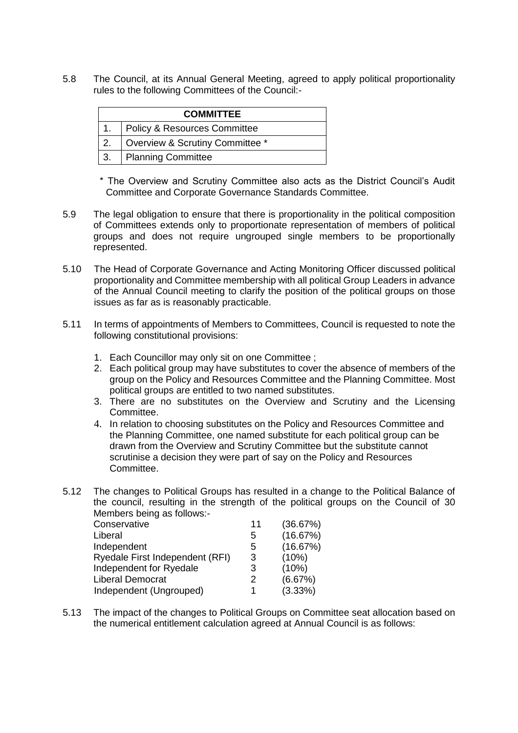5.8 The Council, at its Annual General Meeting, agreed to apply political proportionality rules to the following Committees of the Council:-

|                  | <b>COMMITTEE</b>                |  |  |  |  |  |
|------------------|---------------------------------|--|--|--|--|--|
| $\overline{1}$ . | Policy & Resources Committee    |  |  |  |  |  |
| 2.               | Overview & Scrutiny Committee * |  |  |  |  |  |
| 3.               | Planning Committee              |  |  |  |  |  |

\* The Overview and Scrutiny Committee also acts as the District Council's Audit Committee and Corporate Governance Standards Committee.

- 5.9 The legal obligation to ensure that there is proportionality in the political composition of Committees extends only to proportionate representation of members of political groups and does not require ungrouped single members to be proportionally represented.
- 5.10 The Head of Corporate Governance and Acting Monitoring Officer discussed political proportionality and Committee membership with all political Group Leaders in advance of the Annual Council meeting to clarify the position of the political groups on those issues as far as is reasonably practicable.
- 5.11 In terms of appointments of Members to Committees, Council is requested to note the following constitutional provisions:
	- 1. Each Councillor may only sit on one Committee ;
	- 2. Each political group may have substitutes to cover the absence of members of the group on the Policy and Resources Committee and the Planning Committee. Most political groups are entitled to two named substitutes.
	- 3. There are no substitutes on the Overview and Scrutiny and the Licensing Committee.
	- 4. In relation to choosing substitutes on the Policy and Resources Committee and the Planning Committee, one named substitute for each political group can be drawn from the Overview and Scrutiny Committee but the substitute cannot scrutinise a decision they were part of say on the Policy and Resources Committee.
- 5.12 The changes to Political Groups has resulted in a change to the Political Balance of the council, resulting in the strength of the political groups on the Council of 30 Members being as follows:-

| Conservative                    | 11 | (36.67%) |
|---------------------------------|----|----------|
| Liberal                         | 5  | (16.67%) |
| Independent                     | 5  | (16.67%) |
| Ryedale First Independent (RFI) | 3  | (10%)    |
| Independent for Ryedale         | 3  | (10%)    |
| <b>Liberal Democrat</b>         | 2  | (6.67%)  |
| Independent (Ungrouped)         |    | (3.33%)  |

5.13 The impact of the changes to Political Groups on Committee seat allocation based on the numerical entitlement calculation agreed at Annual Council is as follows: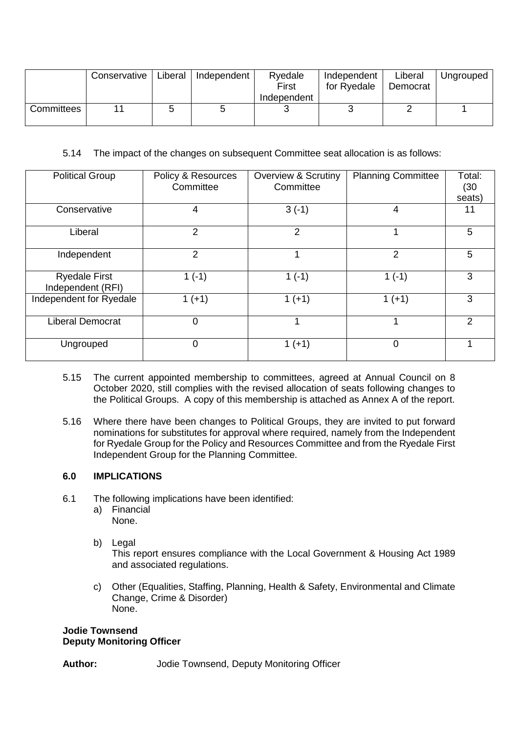|            | Conservative | Liberal | Independent | Ryedale<br>First | Independent<br>for Ryedale | Liberal<br>Democrat | Unarouped |
|------------|--------------|---------|-------------|------------------|----------------------------|---------------------|-----------|
|            |              |         |             | Independent      |                            |                     |           |
| Committees |              |         |             |                  |                            |                     |           |

5.14 The impact of the changes on subsequent Committee seat allocation is as follows:

| <b>Political Group</b>                    | Policy & Resources<br>Committee | <b>Overview &amp; Scrutiny</b><br>Committee | <b>Planning Committee</b> | Total:<br>(30)<br>seats) |
|-------------------------------------------|---------------------------------|---------------------------------------------|---------------------------|--------------------------|
| Conservative                              | 4                               | $3(-1)$                                     | 4                         | 11                       |
| Liberal                                   | 2                               | 2                                           |                           | 5                        |
| Independent                               | 2                               |                                             | $\overline{2}$            | 5                        |
| <b>Ryedale First</b><br>Independent (RFI) | $1(-1)$                         | $1(-1)$                                     | $1(-1)$                   | 3                        |
| Independent for Ryedale                   | $1 (+1)$                        | $1 (+1)$                                    | $1 (+1)$                  | 3                        |
| <b>Liberal Democrat</b>                   | 0                               |                                             |                           | 2                        |
| Ungrouped                                 | 0                               | $1 (+1)$                                    | $\Omega$                  | 4                        |

- 5.15 The current appointed membership to committees, agreed at Annual Council on 8 October 2020, still complies with the revised allocation of seats following changes to the Political Groups. A copy of this membership is attached as Annex A of the report.
- 5.16 Where there have been changes to Political Groups, they are invited to put forward nominations for substitutes for approval where required, namely from the Independent for Ryedale Group for the Policy and Resources Committee and from the Ryedale First Independent Group for the Planning Committee.

### **6.0 IMPLICATIONS**

- 6.1 The following implications have been identified:
	- a) Financial None.
	- b) Legal This report ensures compliance with the Local Government & Housing Act 1989 and associated regulations.
	- c) Other (Equalities, Staffing, Planning, Health & Safety, Environmental and Climate Change, Crime & Disorder) None.

#### **Jodie Townsend Deputy Monitoring Officer**

**Author:** Jodie Townsend, Deputy Monitoring Officer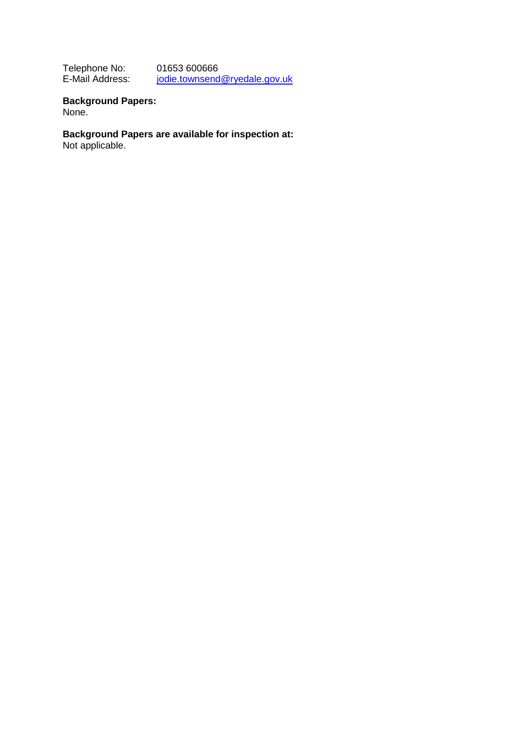Telephone No:<br>E-Mail Address: 01653 600666<br>[jodie.townsend@ryedale.gov.uk](mailto:jodie.townsend@ryedale.gov.uk)

**Background Papers:** None.

**Background Papers are available for inspection at:**

Not applicable.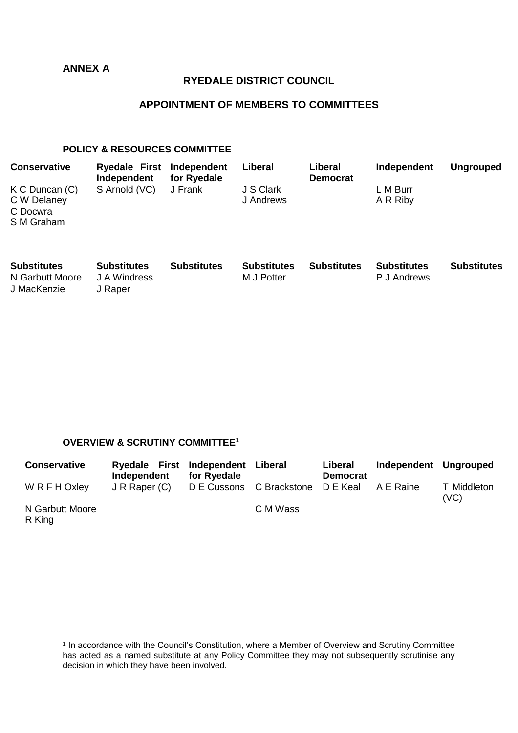## **ANNEX A**

J MacKenzie J Raper

### **RYEDALE DISTRICT COUNCIL**

## **APPOINTMENT OF MEMBERS TO COMMITTEES**

### **POLICY & RESOURCES COMMITTEE**

| <b>Conservative</b>                                         | <b>Ryedale First</b><br>Independent | Independent<br>for Ryedale | Liberal                          | Liberal<br><b>Democrat</b> | Independent                       | <b>Ungrouped</b>   |
|-------------------------------------------------------------|-------------------------------------|----------------------------|----------------------------------|----------------------------|-----------------------------------|--------------------|
| $K$ C Duncan $(C)$<br>C W Delaney<br>C Docwra<br>S M Graham | S Arnold (VC)                       | J Frank                    | J S Clark<br>J Andrews           |                            | L M Burr<br>A R Riby              |                    |
| <b>Substitutes</b><br>N Garbutt Moore                       | <b>Substitutes</b><br>J A Windress  | <b>Substitutes</b>         | <b>Substitutes</b><br>M J Potter | <b>Substitutes</b>         | <b>Substitutes</b><br>P J Andrews | <b>Substitutes</b> |

### **OVERVIEW & SCRUTINY COMMITTEE<sup>1</sup>**

| <b>Conservative</b> | Ryedale First Independent Liberal<br>Independent | for Ryedale |                                   | Liberal<br><b>Democrat</b> | Independent Ungrouped |                     |
|---------------------|--------------------------------------------------|-------------|-----------------------------------|----------------------------|-----------------------|---------------------|
| WRFHOxley           | J R Raper (C)                                    |             | D E Cussons C Brackstone D E Keal |                            | A E Raine             | T Middleton<br>(VC) |
| N Garbutt Moore     |                                                  |             | C M Wass                          |                            |                       |                     |

R King

 1 In accordance with the Council's Constitution, where a Member of Overview and Scrutiny Committee has acted as a named substitute at any Policy Committee they may not subsequently scrutinise any decision in which they have been involved.